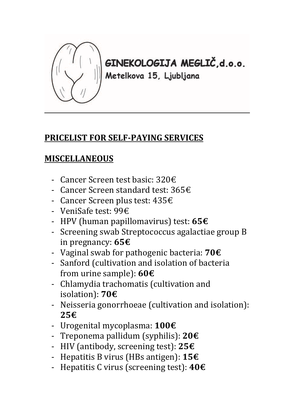

**GINEKOLOGIJA MEGLIČ,d.o.o.**<br>Metelkova 15, Ljubljana

## **PRICELIST FOR SELF-PAYING SERVICES**

## **MISCELLANEOUS**

- Cancer Screen test basic: 320€
- Cancer Screen standard test: 365€
- Cancer Screen plus test: 435€
- VeniSafe test: 99€
- HPV (human papillomavirus) test: **65€**
- Screening swab Streptococcus agalactiae group B in pregnancy: **65€**
- Vaginal swab for pathogenic bacteria: **70€**
- Sanford (cultivation and isolation of bacteria from urine sample): **60€**
- Chlamydia trachomatis (cultivation and isolation): **70€**
- Neisseria gonorrhoeae (cultivation and isolation): **25€**
- Urogenital mycoplasma: **100€**
- Treponema pallidum (syphilis): **20€**
- HIV (antibody, screening test): **25€**
- Hepatitis B virus (HBs antigen): **15€**
- Hepatitis C virus (screening test): **40€**